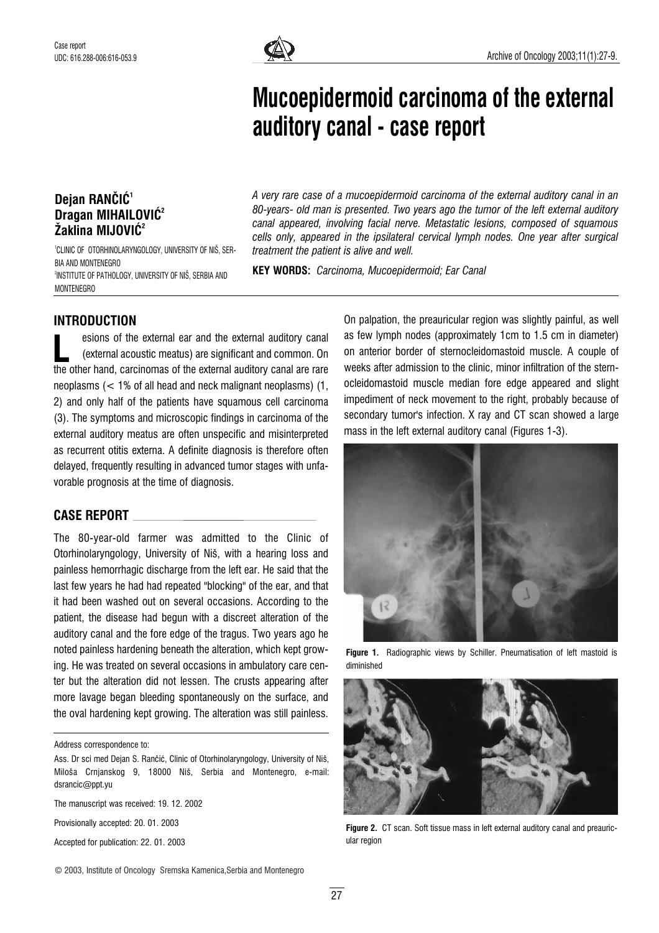

# Mucoepidermoid carcinoma of the external auditory canal - case report

## Dejan RANČIĆ<sup>1</sup> Dragan MIHAILOVIĆ<sup>2</sup> Žaklina MIJOVIĆ<sup>2</sup>

1 CLINIC OF OTORHINOLARYNGOLOGY, UNIVERSITY OF NI©, SER-BIA AND MONTENEGRO 2 INSTITUTE OF PATHOLOGY, UNIVERSITY OF NI©, SERBIA AND **MONTENEGRO** 

A very rare case of a mucoepidermoid carcinoma of the external auditory canal in an 80-years- old man is presented. Two years ago the tumor of the left external auditory canal appeared, involving facial nerve. Metastatic lesions, composed of squamous cells only, appeared in the ipsilateral cervical lymph nodes. One year after surgical treatment the patient is alive and well.

KEY WORDS: Carcinoma, Mucoepidermoid; Ear Canal

### INTRODUCTION

esions of the external ear and the external auditory canal (external acoustic meatus) are significant and common. On esions of the external ear and the external auditory canal<br>(external acoustic meatus) are significant and common. On<br>the other hand, carcinomas of the external auditory canal are rare neoplasms (< 1% of all head and neck malignant neoplasms) (1, 2) and only half of the patients have squamous cell carcinoma (3). The symptoms and microscopic findings in carcinoma of the external auditory meatus are often unspecific and misinterpreted as recurrent otitis externa. A definite diagnosis is therefore often delayed, frequently resulting in advanced tumor stages with unfavorable prognosis at the time of diagnosis.

#### CASE REPORT

The 80-year-old farmer was admitted to the Clinic of Otorhinolaryngology, University of Niš, with a hearing loss and painless hemorrhagic discharge from the left ear. He said that the last few years he had had repeated "blocking" of the ear, and that it had been washed out on several occasions. According to the patient, the disease had begun with a discreet alteration of the auditory canal and the fore edge of the tragus. Two years ago he noted painless hardening beneath the alteration, which kept growing. He was treated on several occasions in ambulatory care center but the alteration did not lessen. The crusts appearing after more lavage began bleeding spontaneously on the surface, and the oval hardening kept growing. The alteration was still painless.

Address correspondence to:

The manuscript was received: 19. 12. 2002

Provisionally accepted: 20. 01. 2003

Accepted for publication: 22. 01. 2003

© 2003, Institute of Oncology Sremska Kamenica,Serbia and Montenegro

On palpation, the preauricular region was slightly painful, as well as few lymph nodes (approximately 1cm to 1.5 cm in diameter) on anterior border of sternocleidomastoid muscle. A couple of weeks after admission to the clinic, minor infiltration of the sternocleidomastoid muscle median fore edge appeared and slight impediment of neck movement to the right, probably because of secondary tumor's infection. X ray and CT scan showed a large mass in the left external auditory canal (Figures 1-3).



**Figure 1.** Radiographic views by Schiller. Pneumatisation of left mastoid is diminished



Figure 2. CT scan. Soft tissue mass in left external auditory canal and preauricular region

Ass. Dr sci med Dejan S. Rančić, Clinic of Otorhinolaryngology, University of Niš, Miloša Crnjanskog 9, 18000 Niš, Serbia and Montenegro, e-mail: dsrancic@ppt.yu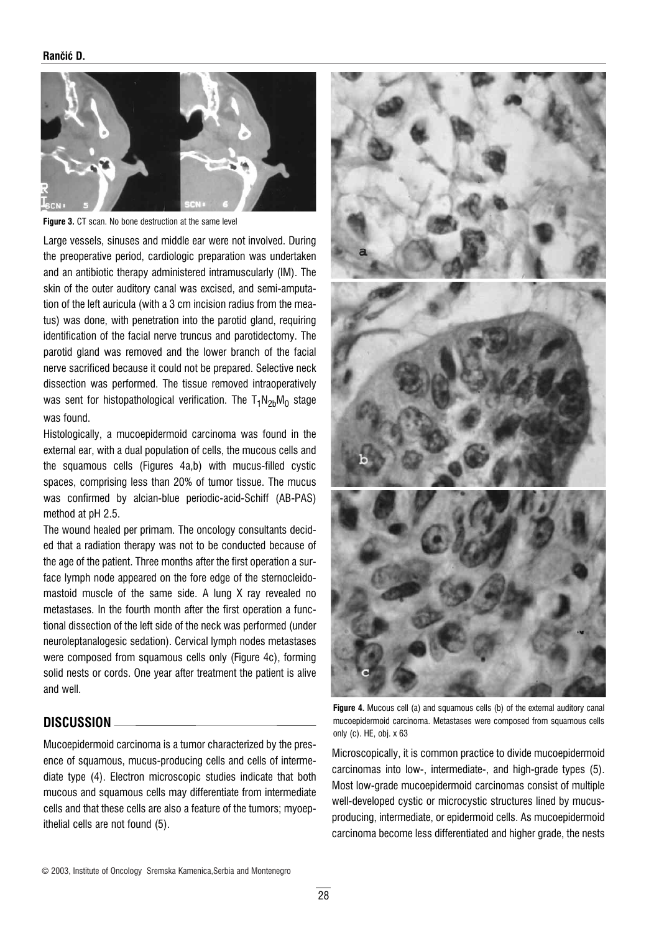#### Rančić D.



Figure 3. CT scan. No bone destruction at the same level

Large vessels, sinuses and middle ear were not involved. During the preoperative period, cardiologic preparation was undertaken and an antibiotic therapy administered intramuscularly (IM). The skin of the outer auditory canal was excised, and semi-amputation of the left auricula (with a 3 cm incision radius from the meatus) was done, with penetration into the parotid gland, requiring identification of the facial nerve truncus and parotidectomy. The parotid gland was removed and the lower branch of the facial nerve sacrificed because it could not be prepared. Selective neck dissection was performed. The tissue removed intraoperatively was sent for histopathological verification. The  $T_1N_{2b}M_0$  stage was found.

Histologically, a mucoepidermoid carcinoma was found in the external ear, with a dual population of cells, the mucous cells and the squamous cells (Figures 4a,b) with mucus-filled cystic spaces, comprising less than 20% of tumor tissue. The mucus was confirmed by alcian-blue periodic-acid-Schiff (AB-PAS) method at pH 2.5.

The wound healed per primam. The oncology consultants decided that a radiation therapy was not to be conducted because of the age of the patient. Three months after the first operation a surface lymph node appeared on the fore edge of the sternocleidomastoid muscle of the same side. A lung X ray revealed no metastases. In the fourth month after the first operation a functional dissection of the left side of the neck was performed (under neuroleptanalogesic sedation). Cervical lymph nodes metastases were composed from squamous cells only (Figure 4c), forming solid nests or cords. One year after treatment the patient is alive and well.

#### DISCUSSION

Mucoepidermoid carcinoma is a tumor characterized by the presence of squamous, mucus-producing cells and cells of intermediate type (4). Electron microscopic studies indicate that both mucous and squamous cells may differentiate from intermediate cells and that these cells are also a feature of the tumors; myoepithelial cells are not found (5).



Figure 4. Mucous cell (a) and squamous cells (b) of the external auditory canal mucoepidermoid carcinoma. Metastases were composed from squamous cells only (c). HE, obj. x 63

Microscopically, it is common practice to divide mucoepidermoid carcinomas into low-, intermediate-, and high-grade types (5). Most low-grade mucoepidermoid carcinomas consist of multiple well-developed cystic or microcystic structures lined by mucusproducing, intermediate, or epidermoid cells. As mucoepidermoid carcinoma become less differentiated and higher grade, the nests